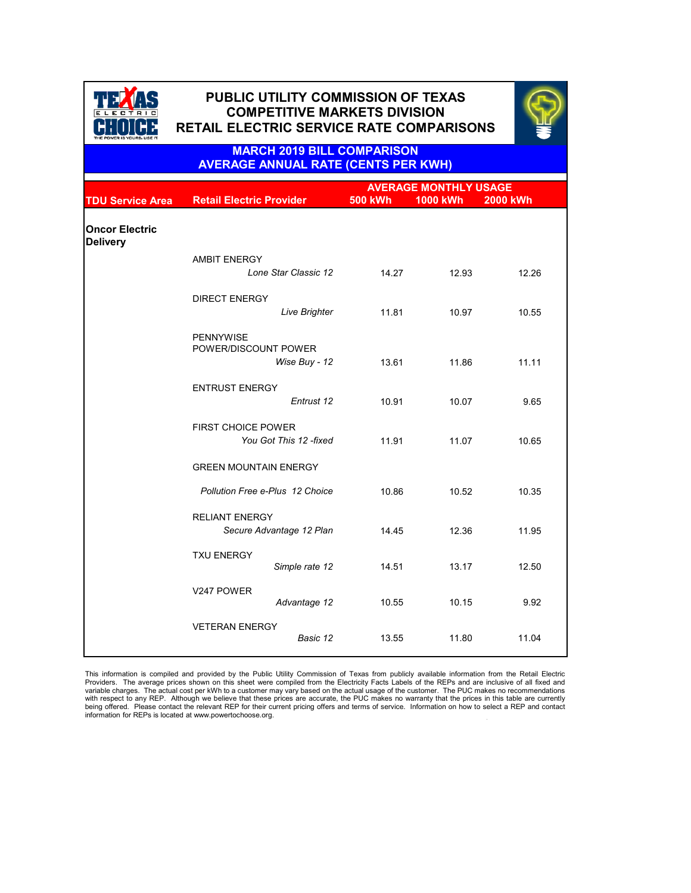|                                          |                                                     | <b>AVERAGE MONTHLY USAGE</b> |                 |                 |  |
|------------------------------------------|-----------------------------------------------------|------------------------------|-----------------|-----------------|--|
| <b>TDU Service Area</b>                  | <b>Retail Electric Provider</b>                     | <b>500 kWh</b>               | <b>1000 kWh</b> | <b>2000 kWh</b> |  |
| <b>Oncor Electric</b><br><b>Delivery</b> |                                                     |                              |                 |                 |  |
|                                          | <b>AMBIT ENERGY</b><br>Lone Star Classic 12         | 14.27                        | 12.93           | 12.26           |  |
|                                          | <b>DIRECT ENERGY</b><br><b>Live Brighter</b>        | 11.81                        | 10.97           | 10.55           |  |
|                                          | <b>PENNYWISE</b><br>POWER/DISCOUNT POWER            |                              |                 |                 |  |
|                                          | Wise Buy - 12                                       | 13.61                        | 11.86           | 11.11           |  |
|                                          | <b>ENTRUST ENERGY</b><br>Entrust 12                 | 10.91                        | 10.07           | 9.65            |  |
|                                          | <b>FIRST CHOICE POWER</b><br>You Got This 12 -fixed | 11.91                        | 11.07           | 10.65           |  |
|                                          | <b>GREEN MOUNTAIN ENERGY</b>                        |                              |                 |                 |  |
|                                          | <b>Pollution Free e-Plus 12 Choice</b>              | 10.86                        | 10.52           | 10.35           |  |
|                                          | <b>RELIANT ENERGY</b><br>Secure Advantage 12 Plan   | 14.45                        | 12.36           | 11.95           |  |
|                                          | <b>TXU ENERGY</b><br>Simple rate 12                 | 14.51                        | 13.17           | 12.50           |  |
|                                          |                                                     |                              |                 |                 |  |

| V247 POWER            | Advantage 12 | 10.55 | 10.15 | 9.92  |
|-----------------------|--------------|-------|-------|-------|
| <b>VETERAN ENERGY</b> | Basic 12     | 13.55 | 11.80 | 11.04 |



# **PUBLIC UTILITY COMMISSION OF TEXAS PUBLIC UTILITY COMMISSION OF TEXAS COMPETITIVE MARKETS DIVISION COMPETITIVE MARKETS DIVISION RETAIL ELECTRIC SERVICE RATE COMPARISONS RETAIL ELECTRIC SERVICE RATE COMPARISONS**



. This information is compiled and provided by the Public Utility Commission of Texas from publicly available information from the Retail Electric Providers. The average prices shown on this sheet were compiled from the Electricity Facts Labels of the REPs and are inclusive of all fixed and variable charges. The actual cost per kWh to a customer may vary based on the actual usage of the customer. The PUC makes no recommendations with respect to any REP. Although we believe that these prices are accurate, the PUC makes no warranty that the prices in this table are currently being offered. Please contact the relevant REP for their current pricing offers and terms of service. Information on how to select a REP and contact information for REPs is located at www.powertochoose.org.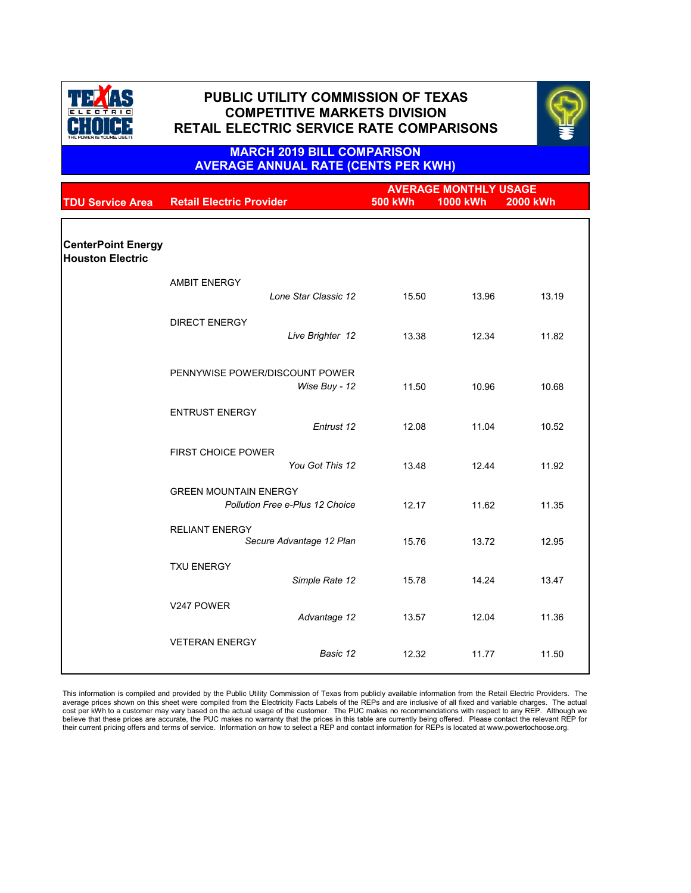|                                                      |                                        | <b>AVERAGE MONTHLY USAGE</b> |          |                 |
|------------------------------------------------------|----------------------------------------|------------------------------|----------|-----------------|
| <b>TDU Service Area</b>                              | <b>Retail Electric Provider</b>        | <b>500 kWh</b>               | 1000 kWh | <b>2000 kWh</b> |
|                                                      |                                        |                              |          |                 |
|                                                      |                                        |                              |          |                 |
| <b>CenterPoint Energy</b><br><b>Houston Electric</b> |                                        |                              |          |                 |
|                                                      | <b>AMBIT ENERGY</b>                    |                              |          |                 |
|                                                      | Lone Star Classic 12                   | 15.50                        | 13.96    | 13.19           |
|                                                      | <b>DIRECT ENERGY</b>                   |                              |          |                 |
|                                                      | Live Brighter 12                       | 13.38                        | 12.34    | 11.82           |
|                                                      | PENNYWISE POWER/DISCOUNT POWER         |                              |          |                 |
|                                                      | Wise Buy - 12                          | 11.50                        | 10.96    | 10.68           |
|                                                      | <b>ENTRUST ENERGY</b>                  |                              |          |                 |
|                                                      | Entrust 12                             | 12.08                        | 11.04    | 10.52           |
|                                                      | <b>FIRST CHOICE POWER</b>              |                              |          |                 |
|                                                      | You Got This 12                        | 13.48                        | 12.44    | 11.92           |
|                                                      | <b>GREEN MOUNTAIN ENERGY</b>           |                              |          |                 |
|                                                      | <b>Pollution Free e-Plus 12 Choice</b> | 12.17                        | 11.62    | 11.35           |
|                                                      | <b>RELIANT ENERGY</b>                  |                              |          |                 |
|                                                      | Secure Advantage 12 Plan               | 15.76                        | 13.72    | 12.95           |
|                                                      | <b>TXU ENERGY</b>                      |                              |          |                 |
|                                                      | Simple Rate 12                         | 15.78                        | 14.24    | 13.47           |

| V247 POWER            | Advantage 12 | 13.57 | 12.04 | 11.36 |
|-----------------------|--------------|-------|-------|-------|
| <b>VETERAN ENERGY</b> | Basic 12     | 12.32 | 11.77 | 11.50 |

This information is compiled and provided by the Public Utility Commission of Texas from publicly available information from the Retail Electric Providers. The average prices shown on this sheet were compiled from the Electricity Facts Labels of the REPs and are inclusive of all fixed and variable charges. The actual cost per kWh to a customer may vary based on the actual usage of the customer. The PUC makes no recommendations with respect to any REP. Although we believe that these prices are accurate, the PUC makes no warranty that the prices in this table are currently being offered. Please contact the relevant REP for their current pricing offers and terms of service. Information on how to select a REP and contact information for REPs is located at www.powertochoose.org.



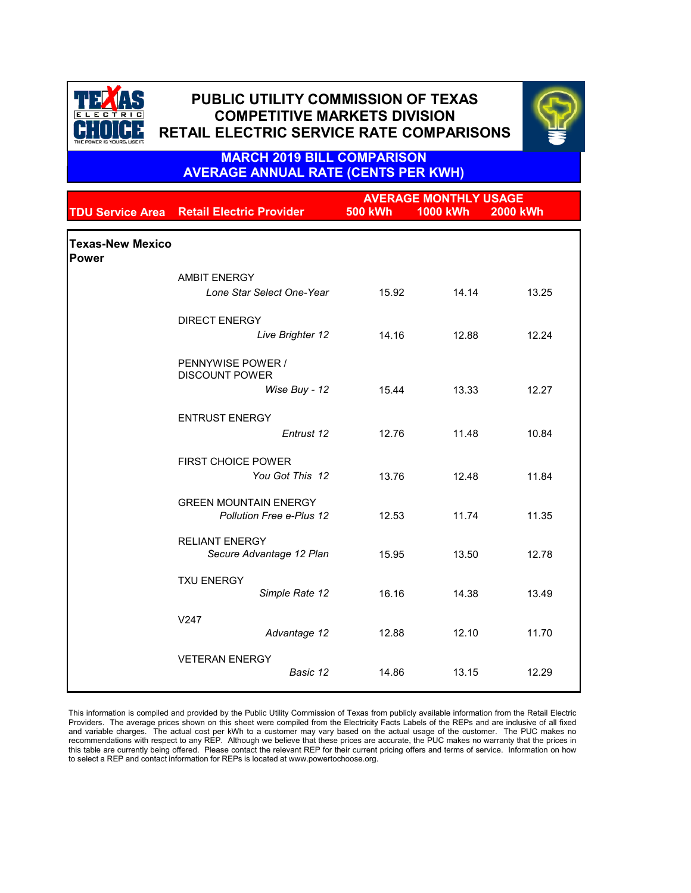|                                         |                                                                 |                | <b>AVERAGE MONTHLY USAGE</b> |                 |
|-----------------------------------------|-----------------------------------------------------------------|----------------|------------------------------|-----------------|
| <b>TDU Service Area</b>                 | <b>Retail Electric Provider</b>                                 | <b>500 kWh</b> | <b>1000 kWh</b>              | <b>2000 kWh</b> |
| <b>Texas-New Mexico</b><br><b>Power</b> |                                                                 |                |                              |                 |
|                                         | <b>AMBIT ENERGY</b>                                             |                |                              |                 |
|                                         | <b>Lone Star Select One-Year</b>                                | 15.92          | 14.14                        | 13.25           |
|                                         | <b>DIRECT ENERGY</b>                                            |                |                              |                 |
|                                         | Live Brighter 12                                                | 14.16          | 12.88                        | 12.24           |
|                                         | PENNYWISE POWER /<br><b>DISCOUNT POWER</b>                      |                |                              |                 |
|                                         | Wise Buy - 12                                                   | 15.44          | 13.33                        | 12.27           |
|                                         | <b>ENTRUST ENERGY</b>                                           |                |                              |                 |
|                                         | Entrust 12                                                      | 12.76          | 11.48                        | 10.84           |
|                                         | <b>FIRST CHOICE POWER</b><br>You Got This 12                    | 13.76          | 12.48                        | 11.84           |
|                                         | <b>GREEN MOUNTAIN ENERGY</b><br><b>Pollution Free e-Plus 12</b> | 12.53          | 11.74                        | 11.35           |
|                                         | <b>RELIANT ENERGY</b><br>Secure Advantage 12 Plan               | 15.95          | 13.50                        | 12.78           |
|                                         | <b>TXU ENERGY</b><br>Simple Rate 12                             | 16.16          | 14.38                        | 13.49           |
|                                         | V247<br>Advantage 12                                            | 12.88          | 12.10                        | 11.70           |

| <b>VETERAN ENERGY</b> |          |       |       |       |
|-----------------------|----------|-------|-------|-------|
|                       | Basic 12 | 14.86 | 13.15 | 12.29 |
|                       |          |       |       |       |

This information is compiled and provided by the Public Utility Commission of Texas from publicly available information from the Retail Electric Providers. The average prices shown on this sheet were compiled from the Electricity Facts Labels of the REPs and are inclusive of all fixed and variable charges. The actual cost per kWh to a customer may vary based on the actual usage of the customer. The PUC makes no recommendations with respect to any REP. Although we believe that these prices are accurate, the PUC makes no warranty that the prices in this table are currently being offered. Please contact the relevant REP for their current pricing offers and terms of service. Information on how to select a REP and contact information for REPs is located at www.powertochoose.org.



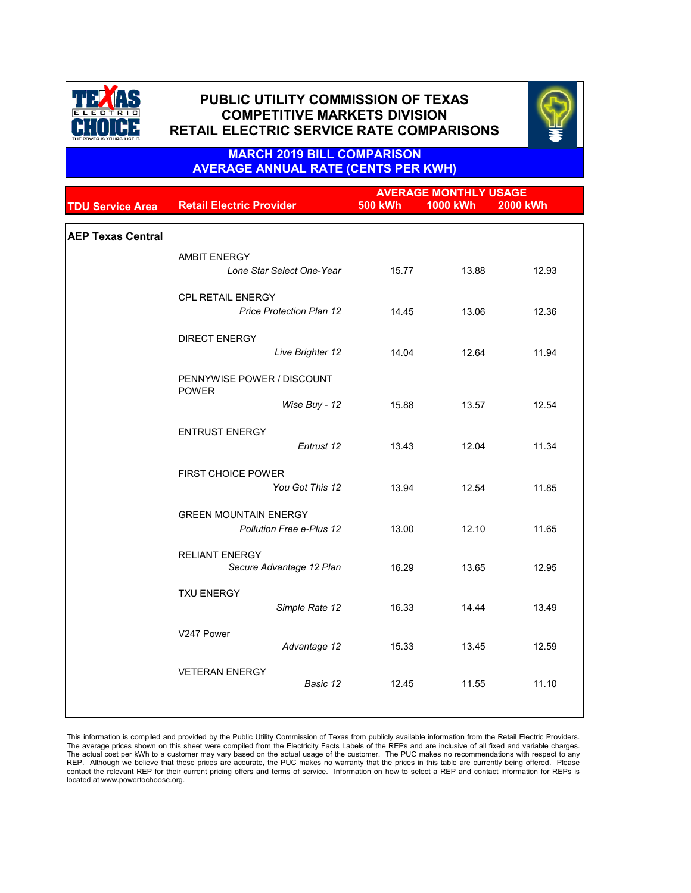|                          |                                            |                | <b>AVERAGE MONTHLY USAGE</b> |                 |
|--------------------------|--------------------------------------------|----------------|------------------------------|-----------------|
| <b>TDU Service Area</b>  | <b>Retail Electric Provider</b>            | <b>500 kWh</b> | <b>1000 kWh</b>              | <b>2000 kWh</b> |
|                          |                                            |                |                              |                 |
| <b>AEP Texas Central</b> |                                            |                |                              |                 |
|                          | <b>AMBIT ENERGY</b>                        |                |                              |                 |
|                          | Lone Star Select One-Year                  | 15.77          | 13.88                        | 12.93           |
|                          | <b>CPL RETAIL ENERGY</b>                   |                |                              |                 |
|                          | <b>Price Protection Plan 12</b>            | 14.45          | 13.06                        | 12.36           |
|                          | <b>DIRECT ENERGY</b>                       |                |                              |                 |
|                          | Live Brighter 12                           | 14.04          | 12.64                        | 11.94           |
|                          | PENNYWISE POWER / DISCOUNT<br><b>POWER</b> |                |                              |                 |
|                          | Wise Buy - 12                              | 15.88          | 13.57                        | 12.54           |
|                          | <b>ENTRUST ENERGY</b>                      |                |                              |                 |
|                          | Entrust 12                                 | 13.43          | 12.04                        | 11.34           |
|                          | <b>FIRST CHOICE POWER</b>                  |                |                              |                 |
|                          | You Got This 12                            | 13.94          | 12.54                        | 11.85           |
|                          | <b>GREEN MOUNTAIN ENERGY</b>               |                |                              |                 |
|                          | <b>Pollution Free e-Plus 12</b>            | 13.00          | 12.10                        | 11.65           |
|                          | <b>RELIANT ENERGY</b>                      |                |                              |                 |
|                          | Secure Advantage 12 Plan                   | 16.29          | 13.65                        | 12.95           |
|                          | <b>TXU ENERGY</b>                          |                |                              |                 |
|                          | Simple Rate 12                             | 16.33          | 14.44                        | 13.49           |
|                          | V247 Power                                 |                |                              |                 |
|                          | Advantage 12                               | 15.33          | 13.45                        | 12.59           |
|                          | <b>VETERAN ENERGY</b>                      |                |                              |                 |
|                          | Basic 12                                   | 12.45          | 11.55                        | 11.10           |
|                          |                                            |                |                              |                 |

This information is compiled and provided by the Public Utility Commission of Texas from publicly available information from the Retail Electric Providers. The average prices shown on this sheet were compiled from the Electricity Facts Labels of the REPs and are inclusive of all fixed and variable charges. The actual cost per kWh to a customer may vary based on the actual usage of the customer. The PUC makes no recommendations with respect to any REP. Although we believe that these prices are accurate, the PUC makes no warranty that the prices in this table are currently being offered. Please contact the relevant REP for their current pricing offers and terms of service. Information on how to select a REP and contact information for REPs is located at www.powertochoose.org.